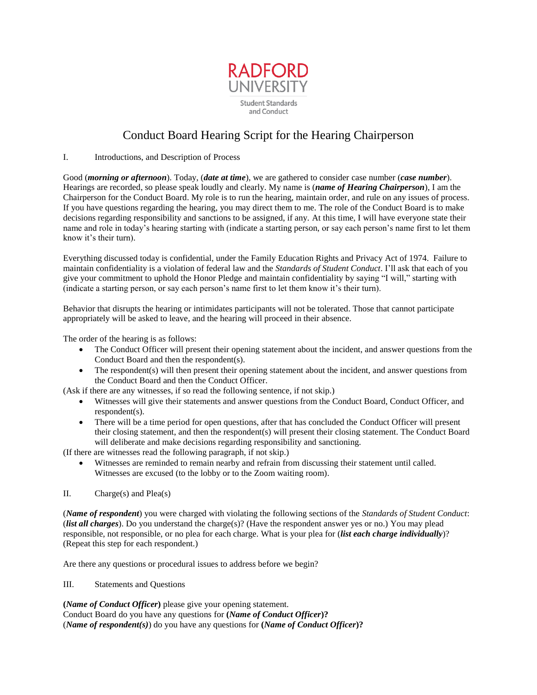

## Conduct Board Hearing Script for the Hearing Chairperson

## I. Introductions, and Description of Process

Good (*morning or afternoon*). Today, (*date at time*), we are gathered to consider case number (*case number*). Hearings are recorded, so please speak loudly and clearly. My name is (*name of Hearing Chairperson*), I am the Chairperson for the Conduct Board. My role is to run the hearing, maintain order, and rule on any issues of process. If you have questions regarding the hearing, you may direct them to me. The role of the Conduct Board is to make decisions regarding responsibility and sanctions to be assigned, if any. At this time, I will have everyone state their name and role in today's hearing starting with (indicate a starting person, or say each person's name first to let them know it's their turn).

Everything discussed today is confidential, under the Family Education Rights and Privacy Act of 1974. Failure to maintain confidentiality is a violation of federal law and the *Standards of Student Conduct*. I'll ask that each of you give your commitment to uphold the Honor Pledge and maintain confidentiality by saying "I will," starting with (indicate a starting person, or say each person's name first to let them know it's their turn).

Behavior that disrupts the hearing or intimidates participants will not be tolerated. Those that cannot participate appropriately will be asked to leave, and the hearing will proceed in their absence.

The order of the hearing is as follows:

- The Conduct Officer will present their opening statement about the incident, and answer questions from the Conduct Board and then the respondent(s).
- The respondent(s) will then present their opening statement about the incident, and answer questions from the Conduct Board and then the Conduct Officer.

(Ask if there are any witnesses, if so read the following sentence, if not skip.)

- Witnesses will give their statements and answer questions from the Conduct Board, Conduct Officer, and respondent(s).
- There will be a time period for open questions, after that has concluded the Conduct Officer will present their closing statement, and then the respondent(s) will present their closing statement. The Conduct Board will deliberate and make decisions regarding responsibility and sanctioning.

(If there are witnesses read the following paragraph, if not skip.)

- Witnesses are reminded to remain nearby and refrain from discussing their statement until called. Witnesses are excused (to the lobby or to the Zoom waiting room).
- II. Charge(s) and Plea(s)

(*Name of respondent*) you were charged with violating the following sections of the *Standards of Student Conduct*: (*list all charges*). Do you understand the charge(s)? (Have the respondent answer yes or no.) You may plead responsible, not responsible, or no plea for each charge. What is your plea for (*list each charge individually*)? (Repeat this step for each respondent.)

Are there any questions or procedural issues to address before we begin?

III. Statements and Questions

**(***Name of Conduct Officer***)** please give your opening statement. Conduct Board do you have any questions for **(***Name of Conduct Officer***)?**  (*Name of respondent(s)*) do you have any questions for **(***Name of Conduct Officer***)?**